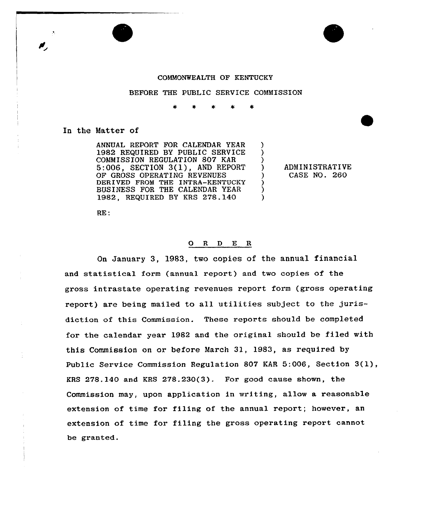



## COMMOWFEALTH OF KENTUCKY

### BEFORE THE PUBLIC SERVICE COMMISSION

) ) )

) ) )

# In the Matter of

ANNUAL REPORT FOR CALENDAR YEAR 1982 REQUIRED BY PUBLIC SERVICE COMMISSION REGULATION 807 KAR 5:006, SECTION 3(l), AND REPORT OF GROSS OPERATING REVENUES DERIVED FROM THE INTRA-KENTUCKY BUSINESS FOR THE CALENDAR YEAR 1982, REQUIRED BY KRS 278.140

) ADMINISTRATIVE ) CASE NO. 260

RE:

## 0 <sup>R</sup> <sup>D</sup> E <sup>R</sup>

On January 3, 19S3, two copies of the annual financial and statistical form (annual report) and two copies of the gross intrastate operating revenues report form (gross operating report) are being mailed to all utilities subject to the jurisdiction of this Commission. These reports should be completed for the calendar year 1982 and the original should be filed with this Commission on or before March 3), 1983, as required by Public Service Commission Regulation <sup>807</sup> KAR 5:006, Section 3(l), KRS 278.140 and KRS 27S.230(3). For good cause shown, the Commission may, upon application in writing, allow a reasonable extension of time for filing of the annual report; however, an extension of time for filing the gross operating report cannot be granted.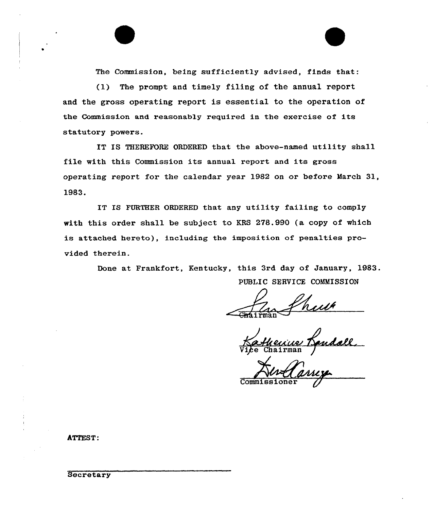The Commission, being sufficiently advised, finds that:

(1) The prompt and timely filing of the annual report and the gross operating report is essential to the operation of the Commission and reasonably required in the exercise of its statutory powers.

IT IS THEREFORE ORDERED that the above-named utility shall file with this Commission its annual report and its gross operating report for the calendar year 1982 on or before March 31, 1983.

IT IS FURTHER ORDERED that any utility failing to comply with this order shall be subject to KRS 278.990 (a copy of which is attached hereto), including the imposition of penalties provided therein.

> Done at Frankfort, Kentucky, this 3rd day of January, 1983. PUBLIC SERVICE COMMISSION

airman

Commissione

ATTEST:

**Secretary**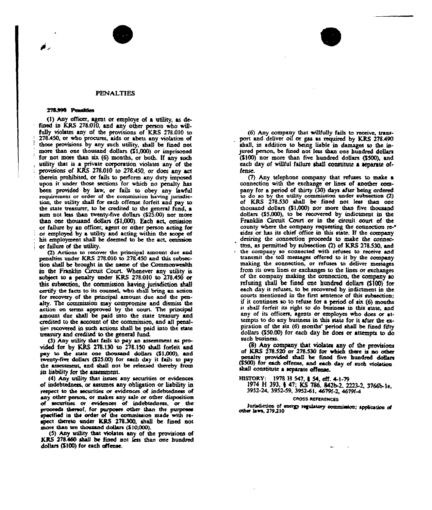#### PENALTIES

#### 278.990 Penalties

(1) Any officer, agent or employe of a utility, as defined in KRS 278.010, and any other person who wiHfully violates any of the provisions of KRS 278.010 to 278.450, or who procures, aids or abets any violation of those provisions by any such utility, shall be fined not more than one thousand dollars  $(S1.000)$  or imprisoned for not mote than six (6) months, or both. If any such utility that is a private corporatioa violates any of the provisions of KRS 278.010 to 278450, or does any act therein prohibited, or fails to perform any duty imposed upon it under those sections for which no penalty has been provided by Iaw, or fails to obey any lawfu! requirement or order of the commission having jurisdiction, the utility shall for each offense forfeit and pay to the state treasurer, to be credited to the general fund, a sum not less than twenty-five dollars (\$25.00) nor more than onc thousand doHars (\$1,000}. Each act, omissioa or failure by an officer, agent or other person acting for or employed by a utility and acting within the scope of his employment shaH be deemed to bc the act, omrssioa or failure of thc utility.

(2) Actions to recover the principal amount due and penalties under KRS 278.010 to 278.450 and this subsection shall be brought in the name of the Commonwealth in the Franklin Circuit Court. Whenever any utility is subject to a penalty under KRS 278.010 to 278.450 or this subsection, the commission having jurisdiction shall cenify the facts to its counsel, who shaH bring an action for recovery of the principal amount duc and the penalty. The commission may compromise and dismiss the action oa terms approved by the court. Thc principal amount due shall be paid into the state treasury and credited to the account of the commission, and all penalties recovered in such actions shall be paid into the state ueasury and credited to the general fuad.

(3) Any utility that fails to pay an assessment as provided for by KRS 278.130 to 278.150 shall forfeit and pay to the state one thousand dollars (\$1,000), and twenty-five doHars (\$25.00) for each day it fails to pay the assessment, and shall not be released thereby from its liability for the assessment.

(4) Any utility that issues any securities or evidences of indebtedness, or assumes any obligation or liability in respect to the securities or evidences of indebtedness of any other person, or makes any sale or other disposition of securities or evidences of indebtedness, or the proceeds thereof, for purposes other than the purposes specified in the order of the commission made with respect thereto under KRS 278.300, shall be fined not more than ten thousand dollars (\$10,000).

(5) Any utility that violates any of the provisions of KRS 278,460 shall be fined not less than one hundred dollars (\$100) for each offense.

(6) Any company thai wiHfully fails to receive, transport and deliver oil or gas as required by KRS 278.490 shall, in addition to being liable in damages to the injured person, be fined not less than one hundred dollars (\$100) nor more than five hundred dollars (\$500), aad each day of willful failure shall constitute a separate offense.

(7) Aay telephone company that refuses to make a connection with the exchange or lines of another company for a period of thirty (30) days after being ordered to do so by the utility commission under subsection (2) of KRS 278.530 shaH be fined aot less than oae thousand doHars (\$1,000) aor more than five thousand dollars (\$5,000), to be recovered by indictment in the Franklin Circuit Court or in thc circuit court of the county where the company requesting the connection reor has its chief office in this state. If the compan desiring the connection proceeds to make the connection, as permitted by subsection (2) of KRS 278.530, and the company so connected with refuses to receive aad transmit the toll messages offered to it by the company making the connection, or refuses to deliver messages from its owa lines or exchanges to the lines or exchanges of the company making the connection, the company so refusing shall be fined one hundred dollars (\$100) for each day it refuses, to be recovered by indictment in the courts mentioned ia the first sentence of this subsectioa; if it continues so to refuse for a period of six (6) months it shall forfeit its right to do business in this state, and any of its officers, agents or employes who does or attempts to do any business in this state for it after the expiration of the six (6) months' period shall be fined fifty doHars (\$50.00) for each day he does or attempts to do such business.

(8) Any company that violates any of the provisions of KRS 278.520 or 278.530 for which there is ao other penalty provided shall be fined five hundred dollars (\$500) for each offense, and each day of such violation shaH consritute a separate ofteaas.

HISTORY: 1978 H 547, 8 54, eft. 4.1-79

- 1974 H 393, 4 47; KS 786. 842b-2, 2223-2, 3766b-le,
- 3952-24, 3952-59, 3952<1, 4679f-2, 4679f<

### CROSS REFERENCES

Jurisdiction of energy regulatory commission; application of other laws, 279.210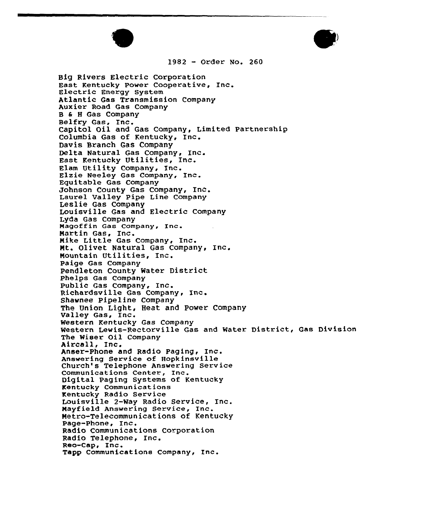



<sup>1982</sup> - Order No. <sup>260</sup>

Big Rivers Electric Corporation East Kentucky Power Cooperative, Inc. Electric Energy System Atlantic Gas Transmission Company Auxier Road Gas Company B 6 <sup>H</sup> Gas Company Belfry Gas, Inc. Capitol Oil and Gas Company, Limited Partnershi Columbia Gas of Kentucky, Inc. Davis Branch Gas Company Delta Natural Gas Company, Inc. East Kentucky Utilities, Inc. Elam Utility Company, Inc. Elzie Neeley Gas Company, Inc. Equitable Gas Company Johnson County Gas Company, Inc. Laurel Valley Pipe Line Company Leslie Gas Company Louisville Gas and Electric Company Lyda Gas Company Magoffin Gas Company, Inc. Martin Gas, Inc. Mike Little Gas Company, Inc. Mt. Olivet Natural Gas Company, Inc. Mountain Utilities, Inc. Paige Gas Company Pendleton County Mater District Phelps Gas Company Public Gas Company, Inc. Richardsville Gas Company, Inc. Shawnee Pipeline Company The Union Light, Heat and Power Company Valley Gas, Inc. Western Kentucky Gas Company western Kentucky das Company<br>Western Lewis-Rectorville Gas and Water District, Gas Divisio The Wiser Oil Company Aircall, Inc. Anser-Phone and Radio Paging, inc. Answering Service of Hopkinsville Church's Telephone Answering service Communications Center, Inc. Digital Paging Systems of Kentucky Kentucky Communications Kentucky Radio Service Louisville 2-Way Radio Service, Inc. Mayfield Answering Service, Inc. Metro-Telecommunications of Kentucky Page-Phone, Inc. Radio Communications Corporation Radio Telephone, Inc. Reo-Cap, Inc. Tapp Communications Company, Inc.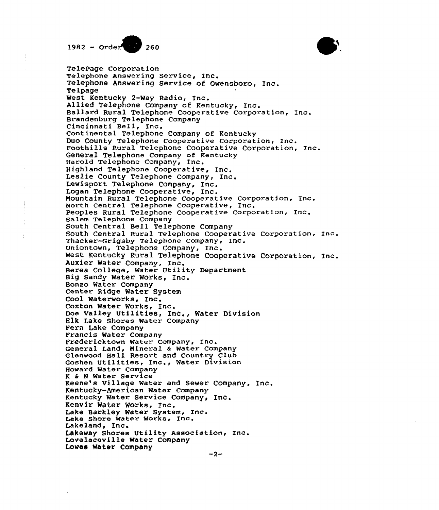



Ballard Rural Telephone Cooperative Corporation, Inc. Edd County Telephone Cooperative Corporation, Inc. negan Issegnant corporative Corporation, Inc. south Central Rural Telephone Cooperative Corporation, Inc. West Kentucky Rural Telephone Cooperative Corporation, Inc. TelePage Corporation Telephone Answering Service, Inc Telephone Answering Service of Owensboro, Inc. Telpage West Kentucky 2-Way Radio, Inc. Allied Telephone Company of Kentucky, Inc. Brandenburg Telephone Company Cincinnati Bell, Inc. Continental Telephone Company of Kentucky Duo County Telephone Cooperative Corporation, Inc. General Telephone Company of Kentucky Harold Telephone Company, Inc.<br>Highland Telephone Cooperative, Inc. Leslie County Telephone Company, Inc. Lewisport Telephone Company, Inc. Logan Telephone Cooperative, Inc. North Central Telephone Cooperative, Inc. Peoples Rural Telephone Cooperative Corporation, Inc Salem Telephone Company South Central Bell Telephone Company Thacker-Grigsby Telephone Company, Inc. Uniontown, Telephone Company, Inc. Auxier Water Company, Inc. Berea College, Water Utility Department Big Sandy Water Works, Inc. Bonzo Water Company Center Ridge Water System Cool Waterworks, Inc. Coxton Water Works, Inc. Doe Valley Utilities, Inc., Water Division Elk Lake Shores Water Company Fern Lake Company Francis Water Company Fredericktown Water Company, Inc. General Land, Mineral 6 Water Company Glenwood Hall Resort and Country Club Goshen Utilities, Inc., Water Division Howard Water Company <sup>K</sup> & <sup>N</sup> Water Service Keene's Village Mater and Sewer Company, Inc. Kentucky-American Water Company Kentucky Water Service Company, Inc. Kenvir Water Works, Inc. Lake Barkley Water System, Inc. Lake Shore Water Works, Inc. Lakeland, Inc. Lakeway Shores Utility Association, Inc. Lovelaceville Water Company Loves Water Company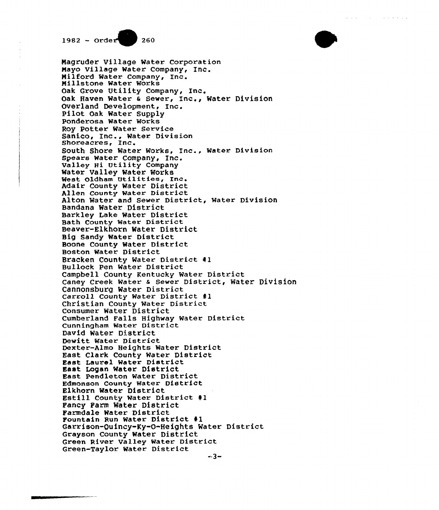

BullOCK Pen Water District<br>Campbell County Kentucky Water District Caney Creek Water & Sewer District, Water Divisio Magruder Village Mater Corporation Mayo Village Water Company, InC. Milford Mater Company, Inc. Millstone Water Works Oak Grove Utility Company, Inc. Oak Haven Water <sup>a</sup> Sewer, Inc., Water Division Overland Development, Inc. Pilot Oak Water Supply Ponderosa Mater Works Roy Potter Water Service Sanico, Inc., Water Division Shoreacres, Inc. South Shore Water Works, Inc., Mater Division Spears Water Company, Inc. Valley Hi Vtility Company Water Valley Water Works West Oldham Utilities, Inc. Adair County Water District Allen County Water District Alton Mater and Sewer District, Mater Division Bandana Watex District Barkley Lake Water District Bath County Water District Beaver-Elkhorn Water District Big Sandy Water District Boone County Water District Boston Water District Bracken County Water District 41 Bullock Pen Water District Cannonsburg Water District Carroll County Water District #1 Christian County Mater District Consumer Water District Cumberland Falls Highway Water District Cunningham Water District David Water District Dewitt Water District Dexter-Almo Heights Water District East Clark County Mater District East Laurel Water District East Logan Water District East Pendleton Water District Edmonson County Water District Estill County Water District #1 Fancy Farm Water District Farmdale Water District Fountain Run Water District 41 Garxison-Quincy-Ky-0-Heights Water District Grayson County Water District Green River Valley Water District Green-Taylor Water District

فالمتحاج والمتعادل المتعارف والمتعاونات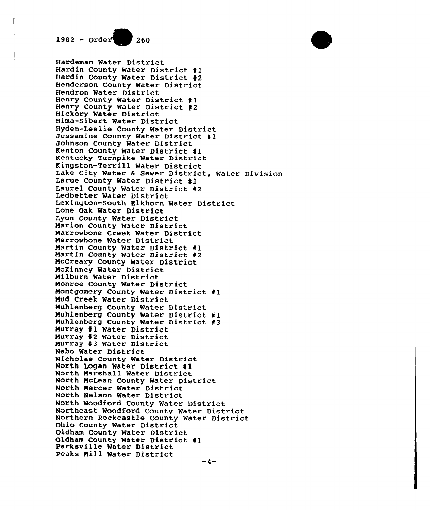

ningsoon rocklik mater District, Water Divisio North Woodford County Water District Northeast Woodford County Water District<br>Northeast Woodford County Water District<br>Northern Rockcastle County Water District Hardeman Water District Hardin County Water District 41 Hardin County Water District 42 Henderson County Water District Hendron Water District Henry County Water District 41 Henry County Water District <sup>42</sup> Hickory Water District Hima-Sibert Water District Hyden-Leslie County Water District Jessamine County Water District #1 Johnson County Water District Kenton County Water District 41 Kentucky Turnpike Rater District Kingston-Terrill Mater District Larue County Water District 41 Laurel County Water District <sup>42</sup> Ledbetter Water District Lexington-South Elkhorn Mater Distri Lone Oak Water District Lyon County Water District Marion County Mater District Marrowbone Creek Water District Marrowbone Water District<br>Martin County Water District #1 Martin County Water District #2 Nccreary County Mater District NcKinney Mater District Nilburn Water District Nonroe County Water District Nontgomery County Rater District 41 Nud Creek Water District Nuhlenberg County Mater District Muhlenberg County Water District #1 Nuhlenberg County Water District 43 Hurray 41 Water District Murray 42 Water District Murray 43 Water District Nebo Water District Nicholas County Water District North Logan Mater District 41 North Marshall Water District North NcLean County Mater District North Mercer Water District North Nelson Water District Northeast Woodford County Mater Dis Ohio County Water District Oldham County Water District Oldham County Water District #1<br>Parksville Water District Peaks Nill Water District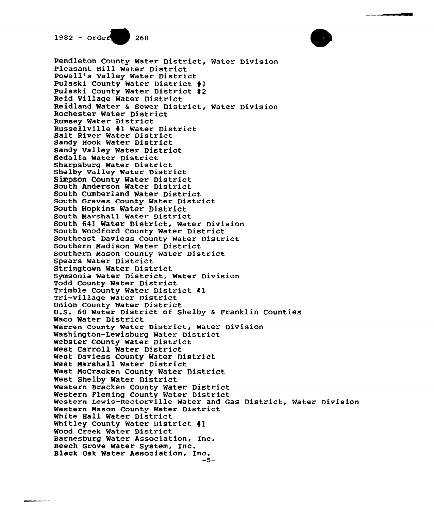

Pendleton County Water District, Water Divisio Pleasant Hill Water District Powell's Valley Water District Pulaski County Water District #1 Pulaski County Water District #2 Reid Village Water District neidland Water & Sewer District, Water Divisio Rochester Water District Rumsey Water District Russellville #1 Water District<br>Salt River Water District Sandy Hook Water District Sandy Valley Water District Sedalia Water District Sharpsburg Water District Shelby Valley Water District Simpson County Mater District South Anderson Water District South Cumberland Water District South Graves County Water District South Hopkins Water District South Marshall Water District South 641 water District, Mater Divisio South Woodford County Water District Southeast Daviess County Water District Southern Madison Water District Southern Mason County Mater District Spears Water District Stringtown Water District Symsonia Water District, Water Division Todd County Mater District Trimble County Water District #1<br>Tri-Village Water District Union County Water District U.S. 60 Water District of Shelby & Franklin Countie Waco Mater District warren County Water District, Water Division Washington-Lewisburg Water District Webster County Water District West Carroll Water District West Daviess County Water District Nest Marshall Water District Nest, McCracken County Water District West Shelby Water District Western Bracken County Water District Western Fleming County Water District western rieming county water *Bistrict*<br>Western Lewis-Rectorville Water and Gas District, Water Divisio Western Mason County Water District White Hall Water District Whitley County Water District #1 Wood Creek Water District Barnesburg Water Association, Inc. Beech Grove Water System, Inc. Black Oak Water Association, Inc.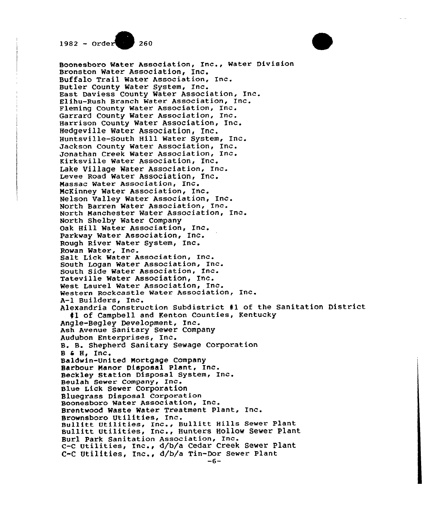

Boonesboro Water Association, Inc., Water Division Bronston Water Association, Inc. Buffalo Trail Water Association, Inc. Butler County Water System, Inc. East Daviess County Water Association, Inc. Elihu-Rush Branch Water Association, Inc. Fleming County Water Association, Inc. Garrard County Water Association, Inc. Harrison County Water Association, Inc. Hedgeville Water Association, Inc. Huntsville-South Hill Water System, Inc. Jackson County Water Association, Inc. Jonathan Creek Water Association, Inc. Kirksville Water Association, Inc. Lake Village Water Association, Inc. Levee Road Water Association, Inc. Massac Water Association, Inc. McKinney Water Association, Inc. Nelson Valley Water Association, Inc. North Barren Water Association, Inc. North Manchester Water Association, Inc. North Shelby Water Company Oak Hill Water Association, Inc. Parkway Water Association, Inc. Rough River Water System, Inc. Rowan Water, Inc. Salt Lick Water Association, Inc. South Logan Water Association, Inc. South Side Water Association, Inc. Tateville Water Association, Inc. West Laurel Water Association, Inc. Western Rockcastle Water Association, Inc. A-1 Builders, Inc. Alexandria Construction Subdistrict #1 of the Sanitation District #1 of Campbell and Kenton Counties, Kentucky Angle-Begley Development, Inc. Ash Avenue Sanitary Sewer Company Audubon Enterprises, Inc. B. B. Shepherd Sanitary Sewage Corporation  $B \in H$ , Inc. Baldwin-United Mortgage Company Barbour Manor Disposal Plant, Inc. Beckley Station Disposal System, Inc. Beulah Sewer Company, Inc. Blue Lick Sewer Corporation Bluegrass Disposal Corporation Boonesboro Water Association, Inc. Brentwood Waste Water Treatment Plant, Inc. Brownsboro Utilities, Inc. Bullitt Utilities, Inc., Bullitt Hills Sewer Plant Bullitt Utilities, Inc., Hunters Hollow Sewer Plant Burl Park Sanitation Association, Inc. c-c utilities, Inc., d/b/a Cedar Creek Sewer Plant C-C Utilities, Inc., d/b/a Tin-Dor Sewer Plant  $-6-$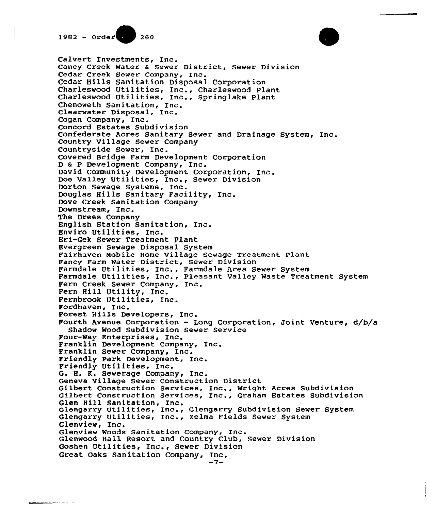$1982 - Order(0) 260$ 

Confederate Acres Sanitary Sewer and Drainage System, Inc. raimoale Oliffies, Inc., raimoale Alea Sewel System<br>Farmdale Utilities, Inc., Pleasant Valley Waste Treatment System Forest Hills Developers, Inc.<br>Fourth Avenue Corporation - Long Corporation, Joint Venture, d/b/ Geneva viriage Sewer Construction Bistrict<br>Gilbert Construction Services, Inc., Wright Acres Subdivisio Gilbert Construction Services, Inc., Wright Actes Subdivision<br>Gilbert Construction Services, Inc., Graham Estates Subdivisio Glen Hill Sanitation, Inc.<br>Glengarry Utilities, Inc., Glengarry Subdivision Sewer System Calvert Investments, Inc. Caney Creek Water <sup>6</sup> Sewer District, Sewer Division Cedar Creek Sewer Company, Inc. Cedar Hills Sanitation Disposal Corporation Charleswood Utilities, Inc., Charleswood Plant Charleswood Utilities, Inc., Springlake Plant Chenoweth Sanitation, Inc. Clearwater Disposal, Inc. Cogan Company, Inc. Concord Estates Subdivision Country Village Sewer Company Countryside Sewer, Inc. Covered Bridge Farm Development Corporation <sup>D</sup> <sup>a</sup> <sup>P</sup> Development Company, Inc. David Community Development Corporation, Inc. Doe Valley Utilities, Inc., Sewer Division Dorton Sewage Systems, Inc. Douglas Hills Sanitary Facility, Inc. Dove Creek Sanitation Company Downstream, Inc. The Drees Company English Station Sanitation, Inc. Enviro Utilities, Inc. Eri-Gek Sewer Treatment Plant Evergreen Sewage Disposal System Fairhaven Mobile Home Village Sewage Treatment Plant Fancy Farm Water District, Sewer Division Farmdale Utilities, Inc., Farmdale Area Sewer System Fern Creek Sewer Company, Inc. Fern Hill Utility, Inc. Fernbrook Utilities, Inc. Pordhaven, Inc. Forest Hills Developers, Inc. Shadow Wood Subdivision Sewer Service Pour-Way Enterprises, Inc. Franklin Development Company, Inc. Franklin Sewer Company, Inc. Friendly Park Development, Inc. Friendly Utilities, Inc. G. H. R. Sewerage Company, Inc. Geneva Village Sewer Construction District Glen Hill Sanitation, Inc. Glengarry Utilities, Inc., Zelma Fields Sewer System Glenview, Inc. Glenview Woods Sanitation Company, Inc. Glenwood Hall Resort and Country Club, Sewer Division Goshen Utilities, Inc., Sewer Division Great Oaks Sanitation Company, Inc. -7-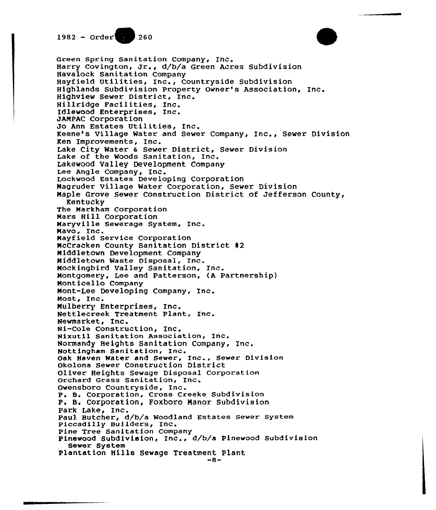

Green Spring Sanitation Company, Inc. Harry Covington, Jr., d/b/a Green Acres Subdivision Havalock Sanitation Company Hayfield Utilities, Inc., Countryside Subdivision Highlands Subdivision Property Owner's Association, Inc. Highview Sewer District, Inc. Hillridge Facilities, Inc. Idlewood Enterprises, Inc. JAMPAC Corporation Jo Ann Estates Utilities, Inc. Keene's Village Water and Sewer Company, Inc., Sewer Division Ken Improvements, Inc. Lake City Water & Sewer District, Sewer Division Lake of the Woods Sanitation, Inc. Lakewood Valley Development Company Lee Angle Company, Inc. Lockwood Estates Developing Corporation Magruder Village Water Corporation, Sewer Division Maple Grove Sewer Construction District of Jefferson County, Kentucky The Markham Corporation Mars Hill Corporation Maryville Sewerage System, Inc. Mavo, Inc. Mayfield Service Corporation McCracken County Sanitation District #2 Middletown Development Company Middletown Waste Disposal, Inc. Mockingbird Valley Sanitation, Inc. Montgomery, Lee and Patterson, (A Partnership) Monticello Company Mont-Lee Developing Company, Inc. Most, Inc. Mulberry Enterprises, Inc. Nettlecreek Treatment Plant, Inc. Newmarket, Inc. Ni-Cole Construction, Inc. Nixutil Sanitation Association, Inc. Normandy Heights Sanitation Company, Inc. Nottingham Sanitation, Inc. Oak Haven Water and Sewer, Inc., Sewer Division Okolona Sewer Construction District Oliver Heights Sewage Disposal Corporation Orchard Grass Sanitation, Inc. Owensboro Countryside, Inc. P. B. Corporation, Cross Creeke Subdivision P. B. Corporation, Foxboro Manor Subdivision Park Lake, Inc. Paul Butcher, d/b/a Woodland Estates Sewer System Piccadilly Builders, Inc. Pine Tree Sanitation Company Pinewood Subdivision, Inc., d/b/a Pinewood Subdivision Sewer System Plantation Hills Sewage Treatment Plant  $-8-$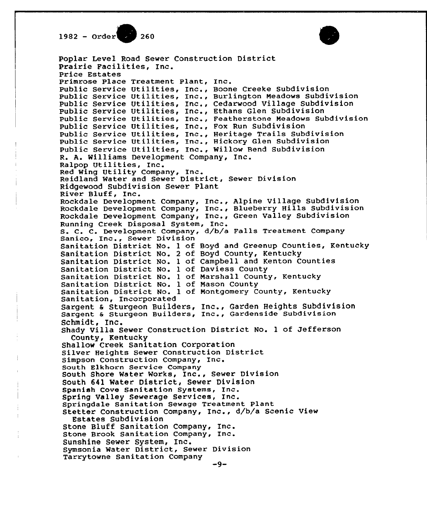1982 - Order<sup>26</sup> 260



Poplar Level Road Sewer Construction District Prairie Facilities, Inc. price Estates Primrose Place Treatment Plant, Inc. Public Service Utilities, Inc., Boone Creeke Subdivision Public Service Utilities, 1nc., Burlington Meadows Subdivision Public Service Utilities, Inc., Cedarwood Village Subdivision Public Service Utilities, Inc., Ethans Glen Subdivision public Service Utilities, Inc., Feathe stone Meadows Subdivision public Service Utilities, Inc., Fox Run Subdivision Public Service Utilities, Inc., Heritage Trails Subdivision Public Service Utilities, Inc., Hickory Glen Subdivision Public Service Utilities, Inc., Willow Bend Subdivision R. A. Williams Development Company, Inc. Ralpop Utilities, Inc. Red Wing Uti1ity Company, Inc. Reidland Water and Sewer District, Sewer Division Ridgewood Subdivision Sever Plant River Bluff, Inc. Rockdale Development Company, Inc., Alpine Village Subdivision Rockdale Development Company, Inc., Blueberry Hills Subdivision Rockdale Development Company, Inc., Green Valley Subdivision S. C. C. Development Company, d/b/a Falls Treatment Company Sanico, Inc., Sewer Division Sanitation District No. <sup>1</sup> of Boyd and Greenup Counties, Kentucky Sanitation District No. <sup>2</sup> of Boyd County, Kentucky Sanitation District No. <sup>1</sup> of Campbell and Kenton Counties Sanitation District No. 1 of Daviess County Sanitation District No. <sup>1</sup> of Narshall County, Kentucky Sanitation District No. <sup>1</sup> of Nason County Sanitation District No. <sup>1</sup> of Nontgomery County, Kentucky Sanitation, Incorporated Sargent <sup>a</sup> Sturgeon Builders, Inc., Garden Heights Subdivision Sargent <sup>6</sup> Sturgeon Builders, Inc., Qardenside Subdivision Schmidt, Inc. Shady Villa Sewer Construction District No. <sup>1</sup> of Jefferson County, Kentucky Shallow Creek Sanitation Corporation Silver Heights Sewer Construction District Simpson Construction Company, Inc. South Elkhorn Service Company South Shore Water Works, Inc., Sewer Division South 641 Water District, Sewer Division Spanish Cove Sanitation Systems, Inc. Spring Valley Sewerage Services, Inc. Springdale Sanitation Sewage Treatment plant Stetter Construction Company, Inc., d/b/a Scenic View Estates Subdivision Stone Bluff Sanitation Company, Inc. Stone Brook Sanitation Company, Inc. Sunshine Sewer System, Inc. Symsonia Water District, Sewer Division Tarrytowne Sanitation Company $-9-$